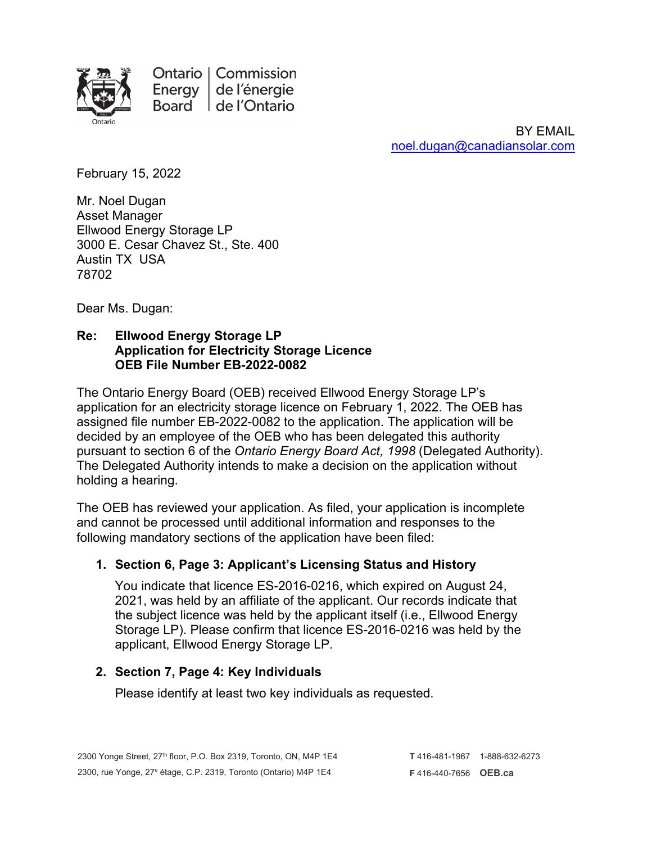

Ontario | Commission Energy de l'énergie Board de l'Ontario

> BY EMAIL [noel.dugan@canadiansolar.com](mailto:noel.dugan@canadiansolar.com)

February 15, 2022

Mr. Noel Dugan Asset Manager Ellwood Energy Storage LP 3000 E. Cesar Chavez St., Ste. 400 Austin TX USA 78702

Dear Ms. Dugan:

## **Re: Ellwood Energy Storage LP Application for Electricity Storage Licence OEB File Number EB-2022-0082**

The Ontario Energy Board (OEB) received Ellwood Energy Storage LP's application for an electricity storage licence on February 1, 2022. The OEB has assigned file number EB-2022-0082 to the application. The application will be decided by an employee of the OEB who has been delegated this authority pursuant to section 6 of the *Ontario Energy Board Act, 1998* (Delegated Authority). The Delegated Authority intends to make a decision on the application without holding a hearing.

The OEB has reviewed your application. As filed, your application is incomplete and cannot be processed until additional information and responses to the following mandatory sections of the application have been filed:

# **1. Section 6, Page 3: Applicant's Licensing Status and History**

You indicate that licence ES-2016-0216, which expired on August 24, 2021, was held by an affiliate of the applicant. Our records indicate that the subject licence was held by the applicant itself (i.e., Ellwood Energy Storage LP). Please confirm that licence ES-2016-0216 was held by the applicant, Ellwood Energy Storage LP.

# **2. Section 7, Page 4: Key Individuals**

Please identify at least two key individuals as requested.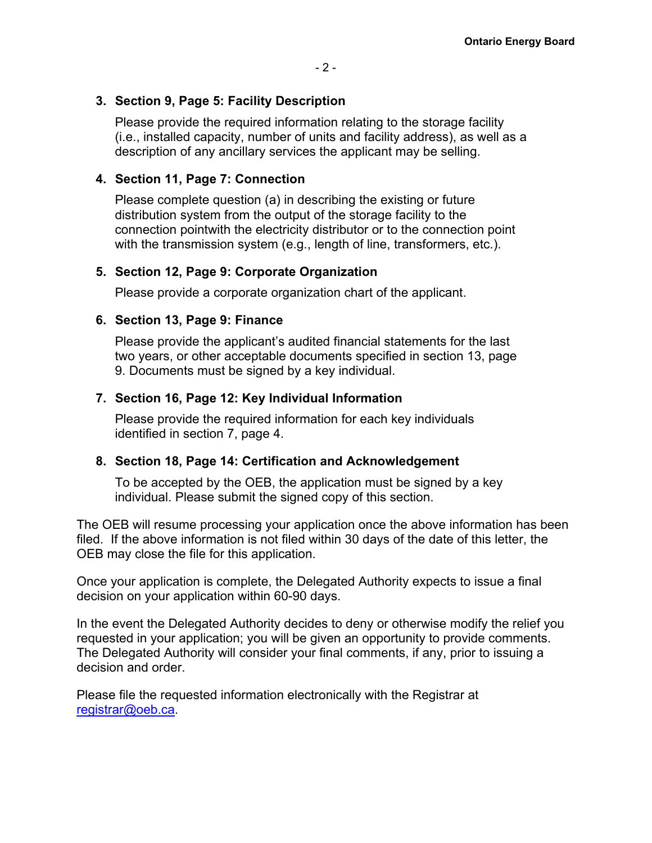## **3. Section 9, Page 5: Facility Description**

Please provide the required information relating to the storage facility (i.e., installed capacity, number of units and facility address), as well as a description of any ancillary services the applicant may be selling.

## **4. Section 11, Page 7: Connection**

Please complete question (a) in describing the existing or future distribution system from the output of the storage facility to the connection pointwith the electricity distributor or to the connection point with the transmission system (e.g., length of line, transformers, etc.).

## **5. Section 12, Page 9: Corporate Organization**

Please provide a corporate organization chart of the applicant.

## **6. Section 13, Page 9: Finance**

Please provide the applicant's audited financial statements for the last two years, or other acceptable documents specified in section 13, page 9. Documents must be signed by a key individual.

## **7. Section 16, Page 12: Key Individual Information**

Please provide the required information for each key individuals identified in section 7, page 4.

## **8. Section 18, Page 14: Certification and Acknowledgement**

To be accepted by the OEB, the application must be signed by a key individual. Please submit the signed copy of this section.

The OEB will resume processing your application once the above information has been filed. If the above information is not filed within 30 days of the date of this letter, the OEB may close the file for this application.

Once your application is complete, the Delegated Authority expects to issue a final decision on your application within 60-90 days.

In the event the Delegated Authority decides to deny or otherwise modify the relief you requested in your application; you will be given an opportunity to provide comments. The Delegated Authority will consider your final comments, if any, prior to issuing a decision and order.

Please file the requested information electronically with the Registrar at [registrar@oeb.ca.](mailto:registrar@oeb.ca)